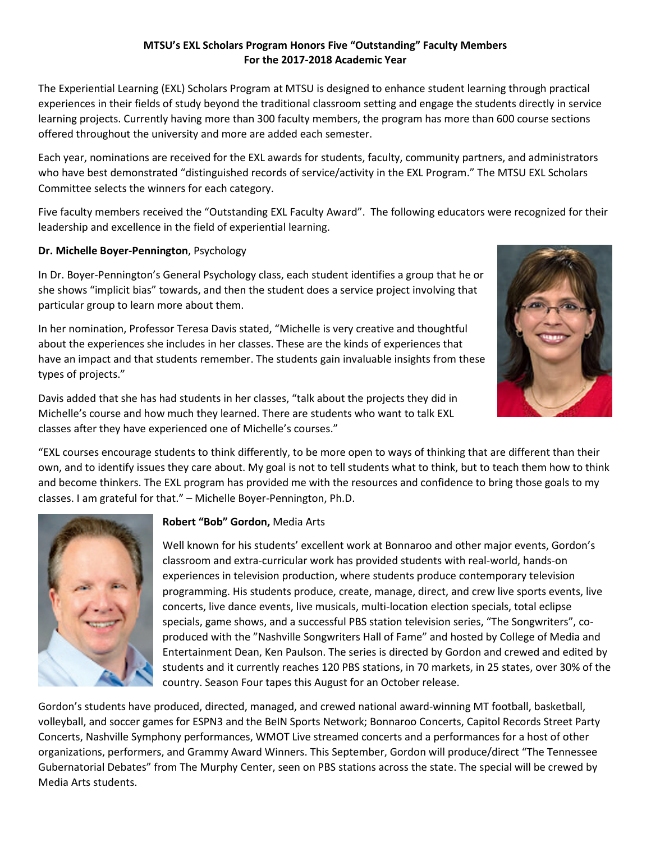#### **MTSU's EXL Scholars Program Honors Five "Outstanding" Faculty Members For the 2017-2018 Academic Year**

The Experiential Learning (EXL) Scholars Program at MTSU is designed to enhance student learning through practical experiences in their fields of study beyond the traditional classroom setting and engage the students directly in service learning projects. Currently having more than 300 faculty members, the program has more than 600 course sections offered throughout the university and more are added each semester.

Each year, nominations are received for the EXL awards for students, faculty, community partners, and administrators who have best demonstrated "distinguished records of service/activity in the EXL Program." The MTSU EXL Scholars Committee selects the winners for each category.

Five faculty members received the "Outstanding EXL Faculty Award". The following educators were recognized for their leadership and excellence in the field of experiential learning.

## **Dr. Michelle Boyer-Pennington**, Psychology

In Dr. Boyer-Pennington's General Psychology class, each student identifies a group that he or she shows "implicit bias" towards, and then the student does a service project involving that particular group to learn more about them.

In her nomination, Professor Teresa Davis stated, "Michelle is very creative and thoughtful about the experiences she includes in her classes. These are the kinds of experiences that have an impact and that students remember. The students gain invaluable insights from these types of projects."



Davis added that she has had students in her classes, "talk about the projects they did in Michelle's course and how much they learned. There are students who want to talk EXL classes after they have experienced one of Michelle's courses."

"EXL courses encourage students to think differently, to be more open to ways of thinking that are different than their own, and to identify issues they care about. My goal is not to tell students what to think, but to teach them how to think and become thinkers. The EXL program has provided me with the resources and confidence to bring those goals to my classes. I am grateful for that." – Michelle Boyer-Pennington, Ph.D.



# **Robert "Bob" Gordon,** Media Arts

Well known for his students' excellent work at Bonnaroo and other major events, Gordon's classroom and extra-curricular work has provided students with real-world, hands-on experiences in television production, where students produce contemporary television programming. His students produce, create, manage, direct, and crew live sports events, live concerts, live dance events, live musicals, multi-location election specials, total eclipse specials, game shows, and a successful PBS station television series, "The Songwriters", coproduced with the "Nashville Songwriters Hall of Fame" and hosted by College of Media and Entertainment Dean, Ken Paulson. The series is directed by Gordon and crewed and edited by students and it currently reaches 120 PBS stations, in 70 markets, in 25 states, over 30% of the country. Season Four tapes this August for an October release.

Gordon's students have produced, directed, managed, and crewed national award-winning MT football, basketball, volleyball, and soccer games for ESPN3 and the BeIN Sports Network; Bonnaroo Concerts, Capitol Records Street Party Concerts, Nashville Symphony performances, WMOT Live streamed concerts and a performances for a host of other organizations, performers, and Grammy Award Winners. This September, Gordon will produce/direct "The Tennessee Gubernatorial Debates" from The Murphy Center, seen on PBS stations across the state. The special will be crewed by Media Arts students.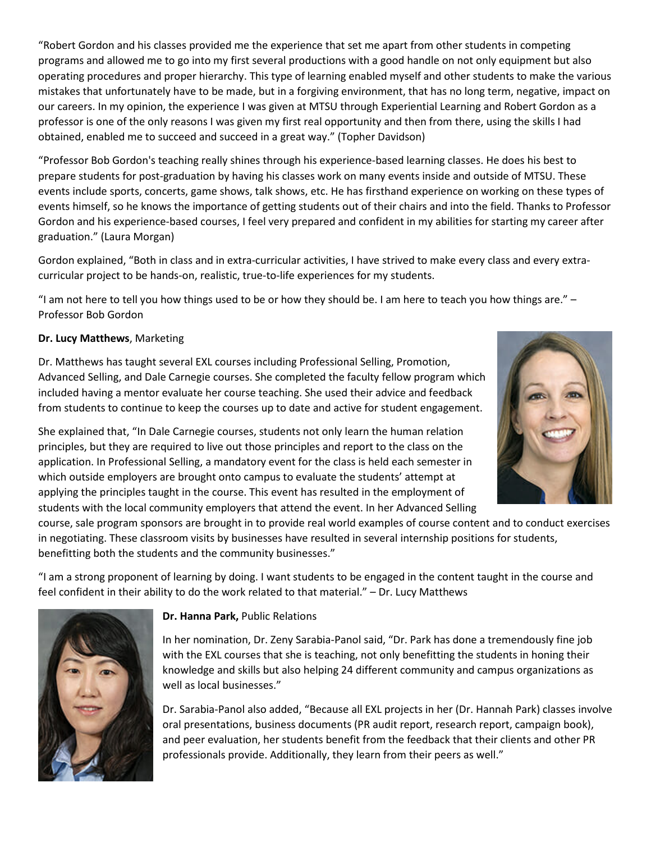"Robert Gordon and his classes provided me the experience that set me apart from other students in competing programs and allowed me to go into my first several productions with a good handle on not only equipment but also operating procedures and proper hierarchy. This type of learning enabled myself and other students to make the various mistakes that unfortunately have to be made, but in a forgiving environment, that has no long term, negative, impact on our careers. In my opinion, the experience I was given at MTSU through Experiential Learning and Robert Gordon as a professor is one of the only reasons I was given my first real opportunity and then from there, using the skills I had obtained, enabled me to succeed and succeed in a great way." (Topher Davidson)

"Professor Bob Gordon's teaching really shines through his experience-based learning classes. He does his best to prepare students for post-graduation by having his classes work on many events inside and outside of MTSU. These events include sports, concerts, game shows, talk shows, etc. He has firsthand experience on working on these types of events himself, so he knows the importance of getting students out of their chairs and into the field. Thanks to Professor Gordon and his experience-based courses, I feel very prepared and confident in my abilities for starting my career after graduation." (Laura Morgan)

Gordon explained, "Both in class and in extra-curricular activities, I have strived to make every class and every extracurricular project to be hands-on, realistic, true-to-life experiences for my students.

"I am not here to tell you how things used to be or how they should be. I am here to teach you how things are."  $-$ Professor Bob Gordon

## **Dr. Lucy Matthews**, Marketing

Dr. Matthews has taught several EXL courses including Professional Selling, Promotion, Advanced Selling, and Dale Carnegie courses. She completed the faculty fellow program which included having a mentor evaluate her course teaching. She used their advice and feedback from students to continue to keep the courses up to date and active for student engagement.

She explained that, "In Dale Carnegie courses, students not only learn the human relation principles, but they are required to live out those principles and report to the class on the application. In Professional Selling, a mandatory event for the class is held each semester in which outside employers are brought onto campus to evaluate the students' attempt at applying the principles taught in the course. This event has resulted in the employment of students with the local community employers that attend the event. In her Advanced Selling



course, sale program sponsors are brought in to provide real world examples of course content and to conduct exercises in negotiating. These classroom visits by businesses have resulted in several internship positions for students, benefitting both the students and the community businesses."

"I am a strong proponent of learning by doing. I want students to be engaged in the content taught in the course and feel confident in their ability to do the work related to that material." – Dr. Lucy Matthews



#### **Dr. Hanna Park,** Public Relations

In her nomination, Dr. Zeny Sarabia-Panol said, "Dr. Park has done a tremendously fine job with the EXL courses that she is teaching, not only benefitting the students in honing their knowledge and skills but also helping 24 different community and campus organizations as well as local businesses."

Dr. Sarabia-Panol also added, "Because all EXL projects in her (Dr. Hannah Park) classes involve oral presentations, business documents (PR audit report, research report, campaign book), and peer evaluation, her students benefit from the feedback that their clients and other PR professionals provide. Additionally, they learn from their peers as well."